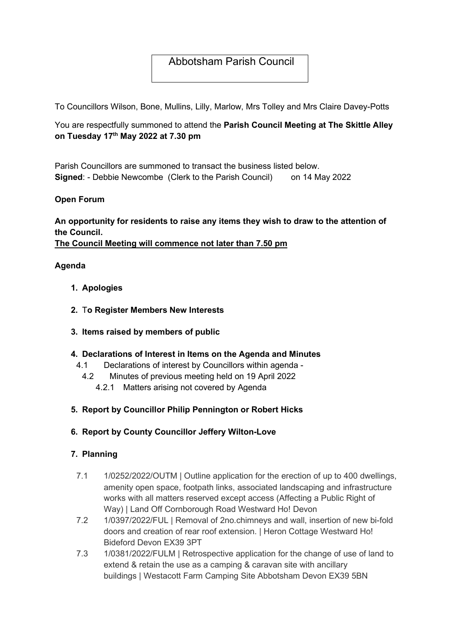## Abbotsham Parish Council

To Councillors Wilson, Bone, Mullins, Lilly, Marlow, Mrs Tolley and Mrs Claire Davey-Potts

You are respectfully summoned to attend the Parish Council Meeting at The Skittle Alley on Tuesday 17<sup>th</sup> May 2022 at 7.30 pm

Parish Councillors are summoned to transact the business listed below. Signed: - Debbie Newcombe (Clerk to the Parish Council) on 14 May 2022

#### Open Forum

# An opportunity for residents to raise any items they wish to draw to the attention of the Council.

The Council Meeting will commence not later than 7.50 pm

#### Agenda

- 1. Apologies
- 2. To Register Members New Interests
- 3. Items raised by members of public

#### 4. Declarations of Interest in Items on the Agenda and Minutes

- 4.1 Declarations of interest by Councillors within agenda
	- 4.2 Minutes of previous meeting held on 19 April 2022
		- 4.2.1 Matters arising not covered by Agenda

### 5. Report by Councillor Philip Pennington or Robert Hicks

#### 6. Report by County Councillor Jeffery Wilton-Love

#### 7. Planning

- 7.1 1/0252/2022/OUTM | Outline application for the erection of up to 400 dwellings, amenity open space, footpath links, associated landscaping and infrastructure works with all matters reserved except access (Affecting a Public Right of Way) | Land Off Cornborough Road Westward Ho! Devon
- 7.2 1/0397/2022/FUL | Removal of 2no.chimneys and wall, insertion of new bi-fold doors and creation of rear roof extension. | Heron Cottage Westward Ho! Bideford Devon EX39 3PT
- 7.3 1/0381/2022/FULM | Retrospective application for the change of use of land to extend & retain the use as a camping & caravan site with ancillary buildings | Westacott Farm Camping Site Abbotsham Devon EX39 5BN